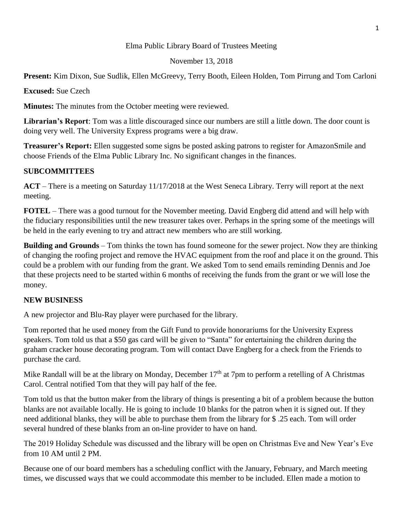### Elma Public Library Board of Trustees Meeting

#### November 13, 2018

**Present:** Kim Dixon, Sue Sudlik, Ellen McGreevy, Terry Booth, Eileen Holden, Tom Pirrung and Tom Carloni

**Excused:** Sue Czech

**Minutes:** The minutes from the October meeting were reviewed.

**Librarian's Report**: Tom was a little discouraged since our numbers are still a little down. The door count is doing very well. The University Express programs were a big draw.

**Treasurer's Report:** Ellen suggested some signs be posted asking patrons to register for AmazonSmile and choose Friends of the Elma Public Library Inc. No significant changes in the finances.

# **SUBCOMMITTEES**

**ACT** – There is a meeting on Saturday 11/17/2018 at the West Seneca Library. Terry will report at the next meeting.

**FOTEL** – There was a good turnout for the November meeting. David Engberg did attend and will help with the fiduciary responsibilities until the new treasurer takes over. Perhaps in the spring some of the meetings will be held in the early evening to try and attract new members who are still working.

**Building and Grounds** – Tom thinks the town has found someone for the sewer project. Now they are thinking of changing the roofing project and remove the HVAC equipment from the roof and place it on the ground. This could be a problem with our funding from the grant. We asked Tom to send emails reminding Dennis and Joe that these projects need to be started within 6 months of receiving the funds from the grant or we will lose the money.

# **NEW BUSINESS**

A new projector and Blu-Ray player were purchased for the library.

Tom reported that he used money from the Gift Fund to provide honorariums for the University Express speakers. Tom told us that a \$50 gas card will be given to "Santa" for entertaining the children during the graham cracker house decorating program. Tom will contact Dave Engberg for a check from the Friends to purchase the card.

Mike Randall will be at the library on Monday, December  $17<sup>th</sup>$  at 7pm to perform a retelling of A Christmas Carol. Central notified Tom that they will pay half of the fee.

Tom told us that the button maker from the library of things is presenting a bit of a problem because the button blanks are not available locally. He is going to include 10 blanks for the patron when it is signed out. If they need additional blanks, they will be able to purchase them from the library for \$ .25 each. Tom will order several hundred of these blanks from an on-line provider to have on hand.

The 2019 Holiday Schedule was discussed and the library will be open on Christmas Eve and New Year's Eve from 10 AM until 2 PM.

Because one of our board members has a scheduling conflict with the January, February, and March meeting times, we discussed ways that we could accommodate this member to be included. Ellen made a motion to